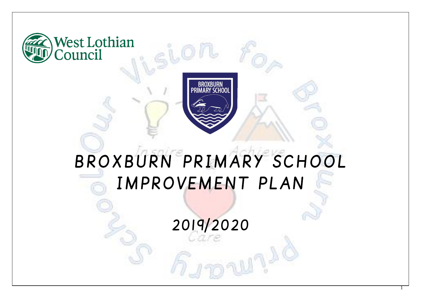



# BROXBURN PRIMARY SCHOOL IMPROVEMENT PLAN

2019/2020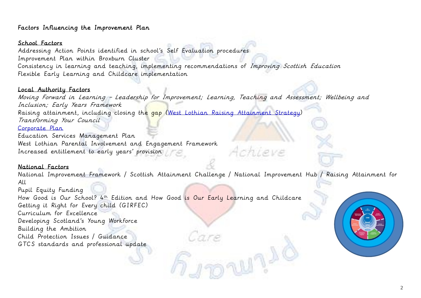## Factors Influencing the Improvement Plan

## School Factors

Addressing Action Points identified in school's Self Evaluation procedures Improvement Plan within Broxburn Cluster Consistency in learning and teaching, implementing recommendations of Improving Scottish Education Flexible Early Learning and Childcare implementation

#### Local Authority Factors

Moving Forward in Learning – Leadership for Improvement; Learning, Teaching and Assessment; Wellbeing and Inclusion; Early Years Framework Raising attainment, including closing the gap [\(West Lothian Raising Attainment Strategy\)](https://www.westlothian.gov.uk/media/29938/Raising-Attainment-Strategy-201819-to-202223/pdf/Raising_Attainment_Strategy.pdf) Transforming Your Council [Corporate Plan](https://www.westlothian.gov.uk/media/19488/Corporate-Plan-2018-2023/pdf/Corporate_Plan_2018_to_2023.pdf)

Education Services Management Plan West Lothian Parental Involvement and Engagement Framework Increased entitlement to early years' provision

### National Factors

National Improvement Framework / Scottish Attainment Challenge / National Improvement Hub / Raising Attainment for All

Arhieve

Pupil Equity Funding How Good is Our School? 4<sup>th</sup> Edition and How Good is Our Early Learning and Childcare Getting it Right for Every child (GIRFEC) Curriculum for Excellence Developing Scotland's Young Workforce Building the Ambition Child Protection Issues / Guidance GTCS standards and professional update

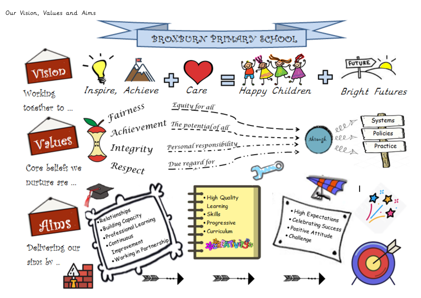#### Our Vision, Values and Aims

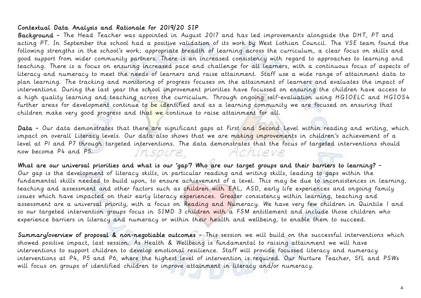## Contextual Data Analysis and Rationale for 2019/20 SIP

Background - The Head Teacher was appointed in August 2017 and has led improvements alongside the DHT, PT and acting PT. In September the school had a positive validation of its work by West Lothian Council. The VSE team found the following strengths in the school's work; appropriate breadth of learning across the curriculum, a clear focus on skills and good support from wider community partners. There is an increased consistency with regard to approaches to learning and teaching. There is a focus on ensuring increased pace and challenge for all learners, with a continuous focus of aspects of literacy and numeracy to meet the needs of learners and raise attainment. Staff use a wide range of attainment data to plan learning. The tracking and monitoring of progress focuses on the attainment of learners and evaluates the impact of interventions. During the last year the school improvement priorities have focussed on ensuring the children have access to a high quality learning and teaching across the curriculum. Through ongoing self-evaluation using HGIOELC and HGIOS4 further areas for development continue to be identified and as a learning community we are focused on ensuring that children make very good progress and that we continue to raise attainment for all.

Data - Our data demonstrates that there are significant gaps at First and Second Level within reading and writing, which impact on overall Literacy levels. Our data also shows that we are making improvements in children's achievement of a level at P1 and P7 through targeted interventions. The data demonstrates that the focus of targeted interventions should now become P4 and P5. *Insoure Achieve* 

What are our universal priorities and what is our 'gap'? Who are our target groups and their barriers to learning? - Our gap is the development of literacy skills, in particular reading and writing skills, leading to gaps within the fundamental skills needed to build upon, to ensure achievement of a level. This may be due to inconsistences in learning, teaching and assessment and other factors such as children with EAL, ASD, early life experiences and ongoing family issues which have impacted on their early literacy experiences. Greater consistency within learning, teaching and assessment are a universal priority, with a focus on Reading and Numeracy. We have very few children in Quintile 1 and so our targeted intervention groups focus in SIMD 3 children with a FSM entitlement and include those children who experience barriers in literacy and numeracy or within their health and wellbeing, to enable them to succeed.

Summary/overview of proposal & non-negotiable outcomes - This session we will build on the successful interventions which showed positive impact, last session. As Health & Wellbeing is fundamental to raising attainment we will have interventions to support children to develop emotional resilience. Staff will provide focussed literacy and numeracy interventions at P4, P5 and P6, where the highest level of intervention is required. Our Nurture Teacher, SfL and PSWs will focus on groups of identified children to improve attainment in literacy and/or numeracy.